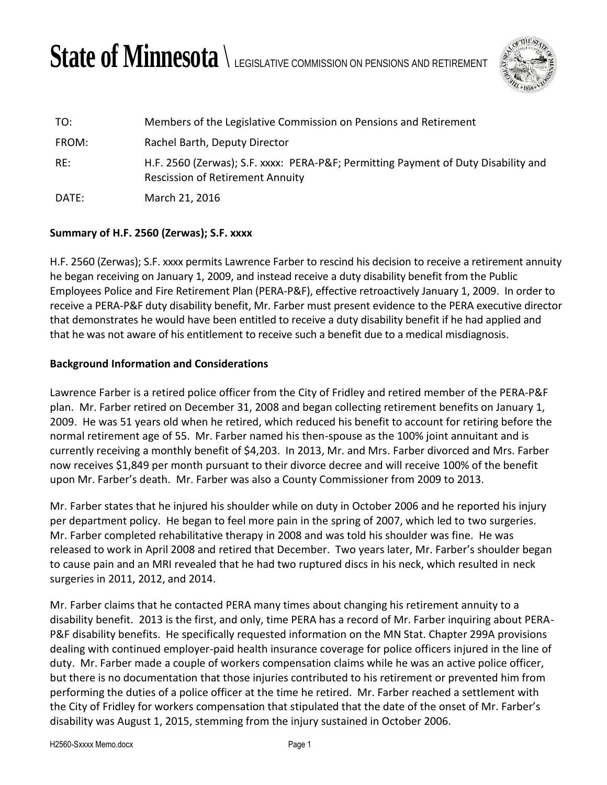## State of Minnesota  $\setminus$  legislative commission on pensions and retirement



| TO:   | Members of the Legislative Commission on Pensions and Retirement                                                             |
|-------|------------------------------------------------------------------------------------------------------------------------------|
| FROM: | Rachel Barth, Deputy Director                                                                                                |
| RE:   | H.F. 2560 (Zerwas); S.F. xxxx: PERA-P&F Permitting Payment of Duty Disability and<br><b>Rescission of Retirement Annuity</b> |
| DATE: | March 21, 2016                                                                                                               |

## **Summary of H.F. 2560 (Zerwas); S.F. xxxx**

H.F. 2560 (Zerwas); S.F. xxxx permits Lawrence Farber to rescind his decision to receive a retirement annuity he began receiving on January 1, 2009, and instead receive a duty disability benefit from the Public Employees Police and Fire Retirement Plan (PERA-P&F), effective retroactively January 1, 2009. In order to receive a PERA-P&F duty disability benefit, Mr. Farber must present evidence to the PERA executive director that demonstrates he would have been entitled to receive a duty disability benefit if he had applied and that he was not aware of his entitlement to receive such a benefit due to a medical misdiagnosis.

## **Background Information and Considerations**

Lawrence Farber is a retired police officer from the City of Fridley and retired member of the PERA-P&F plan. Mr. Farber retired on December 31, 2008 and began collecting retirement benefits on January 1, 2009. He was 51 years old when he retired, which reduced his benefit to account for retiring before the normal retirement age of 55. Mr. Farber named his then-spouse as the 100% joint annuitant and is currently receiving a monthly benefit of \$4,203. In 2013, Mr. and Mrs. Farber divorced and Mrs. Farber now receives \$1,849 per month pursuant to their divorce decree and will receive 100% of the benefit upon Mr. Farber's death. Mr. Farber was also a County Commissioner from 2009 to 2013.

Mr. Farber states that he injured his shoulder while on duty in October 2006 and he reported his injury per department policy. He began to feel more pain in the spring of 2007, which led to two surgeries. Mr. Farber completed rehabilitative therapy in 2008 and was told his shoulder was fine. He was released to work in April 2008 and retired that December. Two years later, Mr. Farber's shoulder began to cause pain and an MRI revealed that he had two ruptured discs in his neck, which resulted in neck surgeries in 2011, 2012, and 2014.

Mr. Farber claims that he contacted PERA many times about changing his retirement annuity to a disability benefit. 2013 is the first, and only, time PERA has a record of Mr. Farber inquiring about PERA-P&F disability benefits. He specifically requested information on the MN Stat. Chapter 299A provisions dealing with continued employer-paid health insurance coverage for police officers injured in the line of duty. Mr. Farber made a couple of workers compensation claims while he was an active police officer, but there is no documentation that those injuries contributed to his retirement or prevented him from performing the duties of a police officer at the time he retired. Mr. Farber reached a settlement with the City of Fridley for workers compensation that stipulated that the date of the onset of Mr. Farber's disability was August 1, 2015, stemming from the injury sustained in October 2006.